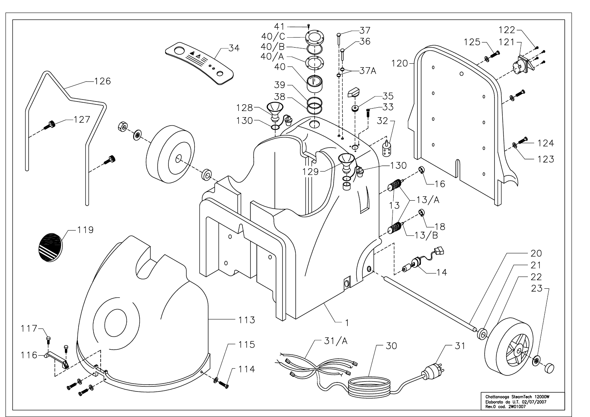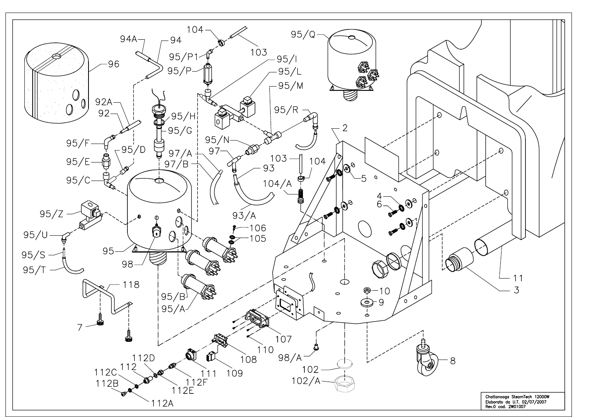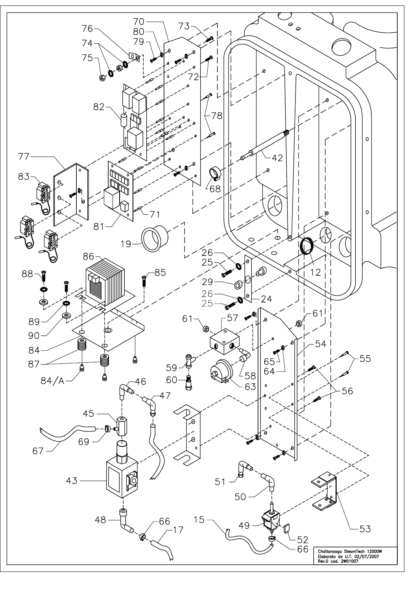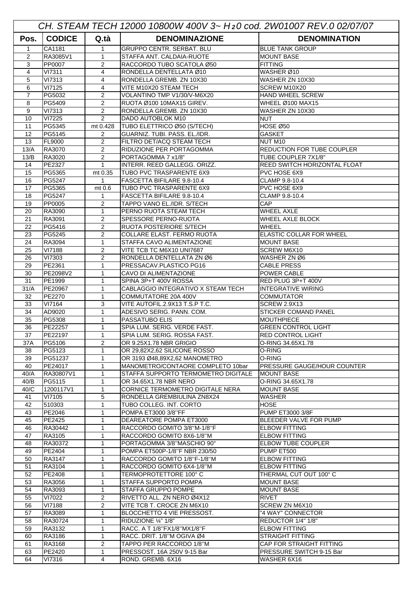| CH. STEAM TECH 12000 10800W 400V 3~ H20 cod. 2W01007 REV.0 02/07/07 |                         |                     |                                                         |                                               |  |  |
|---------------------------------------------------------------------|-------------------------|---------------------|---------------------------------------------------------|-----------------------------------------------|--|--|
| Pos.                                                                | <b>CODICE</b>           | Q.tà                | <b>DENOMINAZIONE</b>                                    | <b>DENOMINATION</b>                           |  |  |
| $\mathbf 1$                                                         | CA1181                  | $\mathbf{1}$        | <b>GRUPPO CENTR. SERBAT. BLU</b>                        | <b>BLUE TANK GROUP</b>                        |  |  |
| $\overline{2}$                                                      | RA3085V1                | $\mathbf{1}$        | STAFFA ANT. CALDAIA-RUOTE                               | <b>MOUNT BASE</b>                             |  |  |
| 3                                                                   | PP0007                  | $\overline{2}$      | RACCORDO TUBO SCATOLA Ø50                               | <b>FITTING</b>                                |  |  |
| 4                                                                   | <b>VI7311</b>           | 4                   | RONDELLA DENTELLATA Ø10                                 | WASHER Ø10                                    |  |  |
| 5                                                                   | VI7313                  | 4                   | RONDELLA GREMB. ZN 10X30                                | WASHER ZN 10X30                               |  |  |
| 6                                                                   | <b>VI7125</b>           | 4                   | VITE M10X20 STEAM TECH                                  | SCREW M10X20                                  |  |  |
| $\overline{7}$                                                      | PG5032                  | 2                   | VOLANTINO TMP V1/30/V-M6X20                             | <b>HAND WHEEL SCREW</b>                       |  |  |
| 8                                                                   | PG5409                  | 2                   | RUOTA Ø100 10MAX15 GIREV.                               | <b>WHEEL Ø100 MAX15</b>                       |  |  |
| 9<br>10                                                             | VI7313                  | 2<br>$\overline{2}$ | RONDELLA GREMB. ZN 10X30<br>DADO AUTOBLOK M10           | WASHER ZN 10X30                               |  |  |
| 11                                                                  | <b>VI7225</b><br>PG5345 | mt 0.428            | TUBO ELETTRICO Ø50 (S/TECH)                             | <b>NUT</b><br>HOSE Ø50                        |  |  |
| 12                                                                  | PG5145                  | 2                   | GUARNIZ. TUBI. PASS. EL./IDR.                           | <b>GASKET</b>                                 |  |  |
| 13                                                                  | FL9000                  | $\overline{2}$      | FILTRO DET/ACQ STEAM TECH                               | NUT M <sub>10</sub>                           |  |  |
| 13/A                                                                | RA3070                  | 2                   | RIDUZIONE PER PORTAGOMMA                                | REDUCTION FOR TUBE COUPLER                    |  |  |
| 13/B                                                                | RA3020                  | 2                   | PORTAGOMMA 7 x1/8"                                      | TUBE COUPLER 7X1/8"                           |  |  |
| 14                                                                  | PE2327                  | $\mathbf{1}$        | INTERR. REED GALLEGG. ORIZZ.                            | <b>REED SWITCH HORIZONTAL FLOAT</b>           |  |  |
| 15                                                                  | PG5365                  | mt 0.35             | TUBO PVC TRASPARENTE 6X9                                | PVC HOSE 6X9                                  |  |  |
| 16                                                                  | PG5247                  | $\mathbf{1}$        | FASCETTA BIFILARE 9.8-10.4                              | CLAMP 9.8-10.4                                |  |  |
| 17                                                                  | PG5365                  | mt 0.6              | TUBO PVC TRASPARENTE 6X9                                | PVC HOSE 6X9                                  |  |  |
| 18                                                                  | PG5247                  | $\mathbf{1}$        | FASCETTA BIFILARE 9.8-10.4                              | CLAMP 9.8-10.4                                |  |  |
| 19                                                                  | PP0005                  | 2                   | TAPPO VANO EL./IDR. S/TECH                              | CAP                                           |  |  |
| 20                                                                  | RA3090                  | $\mathbf 1$         | PERNO RUOTA STEAM TECH                                  | <b>WHEEL AXLE</b>                             |  |  |
| 21                                                                  | RA3091                  | 2                   | SPESSORE PERNO-RUOTA                                    | WHEEL AXLE BLOCK                              |  |  |
| 22                                                                  | PG5416                  | $\overline{2}$      | RUOTA POSTERIORE S/TECH                                 | <b>WHEEL</b>                                  |  |  |
| 23                                                                  | PG5245                  | 2                   | COLLARE ELAST. FERMO RUOTA                              | <b>ELASTIC COLLAR FOR WHEEL</b>               |  |  |
| 24                                                                  | RA3094                  | $\mathbf{1}$        | STAFFA CAVO ALIMENTAZIONE                               | <b>MOUNT BASE</b>                             |  |  |
| 25                                                                  | VI7188                  | 2                   | VITE TCB TC M6X10 UNI7687                               | <b>SCREW M6X10</b>                            |  |  |
| 26                                                                  | VI7303                  | $\overline{2}$      | RONDELLA DENTELLATA ZN Ø6                               | WASHER ZN Ø6                                  |  |  |
| 29                                                                  | PE2361                  | 1                   | PRESSACAV.PLASTICO PG16                                 | <b>CABLE PRESS</b>                            |  |  |
| 30                                                                  | PE2098V2                | 1                   | CAVO DI ALIMENTAZIONE                                   | <b>POWER CABLE</b>                            |  |  |
| 31                                                                  | PE1999                  | 1                   | SPINA 3P+T 400V ROSSA                                   | RED PLUG 3P+T 400V                            |  |  |
| 31/A                                                                | PE20967                 | $\mathbf 1$         | CABLAGGIO INTEGRATIVO X STEAM TECH                      | <b>INTEGRATIVE WIRING</b>                     |  |  |
| 32                                                                  | PE2270                  | $\mathbf 1$         | COMMUTATORE 20A 400V                                    | <b>COMMUTATOR</b>                             |  |  |
| 33                                                                  | VI7164                  | 3                   | VITE AUTOFIL.2.9X13 T.S.P T.C.                          | <b>SCREW 2.9X13</b>                           |  |  |
| 34                                                                  | AD9020                  | $\mathbf{1}$        | ADESIVO SERIG. PANN. COM.                               | <b>STICKER COMAND PANEL</b>                   |  |  |
| 35                                                                  | PG5308                  | 1                   | PASSATUBO ELIS                                          | <b>MOUTHPIECE</b>                             |  |  |
| 36                                                                  | PE22257                 | $\mathbf{1}$        | SPIA LUM. SERIG. VERDE FAST.                            | <b>GREEN CONTROL LIGHT</b>                    |  |  |
| 37                                                                  | PE22197<br>PG5106       | 1                   | SPIA LUM. SERIG. ROSSA FAST.                            | <b>RED CONTROL LIGHT</b><br>O-RING 34.65X1.78 |  |  |
| 37A                                                                 | PG5123                  | $\overline{2}$      | OR 9.25X1.78 NBR GRIGIO<br>OR 29,82X2,62 SILICONE ROSSO | O-RING                                        |  |  |
| 38<br>39                                                            | PG51237                 | 1<br>1              | OR 3193 Ø48,89X2,62 MANOMETRO                           | O-RING                                        |  |  |
| 40                                                                  | PE24017                 | 1                   | MANOMETRO/CONTAORE COMPLETO 10bar                       | <b>PRESSURE GAUGE/HOUR COUNTER</b>            |  |  |
| 40/A                                                                | RA30807V1               | 1                   | STAFFA SUPPORTO TERMOMETRO DIGITALE                     | <b>MOUNT BASE</b>                             |  |  |
| 40/B                                                                | PG5115                  | $\mathbf 1$         | OR 34.65X1.78 NBR NERO                                  | O-RING 34.65X1.78                             |  |  |
| 40/C                                                                | 1200117V1               | $\mathbf{1}$        | CORNICE TERMOMETRO DIGITALE NERA                        | <b>MOUNT BASE</b>                             |  |  |
| 41                                                                  | VI7105                  | 5                   | RONDELLA GREMBIULINA ZN8X24                             | <b>WASHER</b>                                 |  |  |
| 42                                                                  | 510303                  | 1                   | TUBO COLLEG. INT. CORTO                                 | <b>HOSE</b>                                   |  |  |
| 43                                                                  | PE2046                  | 1                   | POMPA ET3000 3/8"FF                                     | <b>PUMP ET3000 3/8F</b>                       |  |  |
| 45                                                                  | PE2425                  | 1                   | DEAREATORE POMPA ET3000                                 | BLEEDER VALVE FOR PUMP                        |  |  |
| 46                                                                  | RA30442                 | $\mathbf 1$         | RACCORDO GOMITO 3/8"M-1/8"F                             | <b>ELBOW FITTING</b>                          |  |  |
| 47                                                                  | RA3105                  | 1                   | RACCORDO GOMITO 8X6-1/8"M                               | <b>ELBOW FITTING</b>                          |  |  |
| 48                                                                  | RA30372                 | 1                   | PORTAGOMMA 3/8"MASCHIO 90°                              | <b>ELBOW TUBE COUPLER</b>                     |  |  |
| 49                                                                  | PE2404                  | 1                   | POMPA ET500P-1/8"F NBR 230/50                           | PUMP ET500                                    |  |  |
| 50                                                                  | RA3147                  | 1                   | RACCORDO GOMITO 1/8"F-1/8"M                             | <b>ELBOW FITTING</b>                          |  |  |
| 51                                                                  | RA3104                  | 1                   | RACCORDO GOMITO 6X4-1/8"M                               | <b>ELBOW FITTING</b>                          |  |  |
| 52                                                                  | PE2408                  | $\mathbf{1}$        | TERMOPROTETTORE 100°C                                   | THERMAL CUT OUT 100° C                        |  |  |
| 53                                                                  | RA3056                  | $\mathbf{1}$        | STAFFA SUPPORTO POMPA                                   | <b>MOUNT BASE</b>                             |  |  |
| 54                                                                  | RA3093                  | $\mathbf{1}$        | <b>STAFFA GRUPPO POMPE</b>                              | <b>MOUNT BASE</b>                             |  |  |
| 55                                                                  | VI7022                  | 2                   | RIVETTO ALL. ZN NERO Ø4X12                              | <b>RIVET</b>                                  |  |  |
| 56                                                                  | <b>VI7188</b>           | $\sqrt{2}$          | VITE TCB T. CROCE ZN M6X10                              | SCREW ZN M6X10                                |  |  |
| 57                                                                  | RA3089                  | 1                   | BLOCCHETTO 4 VIE PRESSOST.                              | "4 WAY" CONNECTOR                             |  |  |
| 58                                                                  | RA30724                 | 1                   | RIDUZIONE 1/4" 1/8"                                     | REDUCTOR 1/4" 1/8"                            |  |  |
| 59                                                                  | RA3132                  | $\mathbf 1$         | RACC. A T 1/8"FX1/8"MX1/8"F                             | <b>ELBOW FITTING</b>                          |  |  |
| 60                                                                  | RA3186                  | 1                   | RACC. DRIT. 1/8"M OGIVA Ø4                              | <b>STRAIGHT FITTING</b>                       |  |  |
| 61                                                                  | RA3168                  | 2                   | TAPPO PER RACCORDO 1/8"M                                | CAP FOR STRAIGHT FITTING                      |  |  |
| 63                                                                  | PE2420                  | 1                   | PRESSOST. 16A 250V 9-15 Bar                             | PRESSURE SWITCH 9-15 Bar                      |  |  |
| 64                                                                  | VI7316                  | $\overline{4}$      | ROND. GREMB. 6X16                                       | WASHER 6X16                                   |  |  |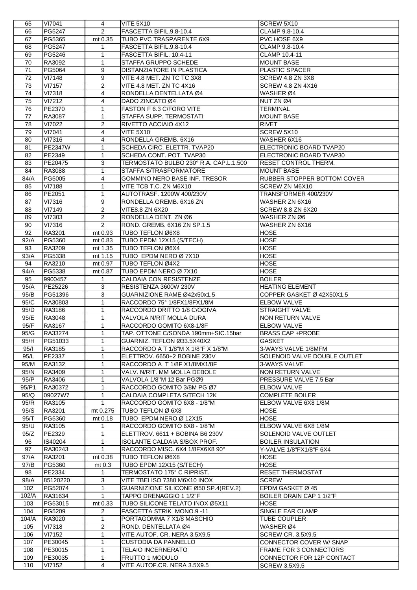| 65              | VI7041         | 4                       | <b>VITE 5X10</b>                       | SCREW 5X10                         |
|-----------------|----------------|-------------------------|----------------------------------------|------------------------------------|
| 66              | PG5247         | 2                       | FASCETTA BIFIL.9.8-10.4                | CLAMP 9.8-10.4                     |
| 67              | PG5365         | mt 0.35                 | TUBO PVC TRASPARENTE 6X9               | PVC HOSE 6X9                       |
|                 |                |                         |                                        |                                    |
| 68              | PG5247         | 1                       | FASCETTA BIFIL.9.8-10.4                | CLAMP 9.8-10.4                     |
| 69              | PG5246         | 1                       | FASCETTA BIFIL. 10.4-11                | <b>CLAMP 10.4-11</b>               |
| 70              | RA3092         | 1                       | STAFFA GRUPPO SCHEDE                   | <b>MOUNT BASE</b>                  |
| 71              | PG5064         | 9                       | DISTANZIATORE IN PLASTICA              | PLASTIC SPACER                     |
| $\overline{72}$ | VI7148         | 9                       | VITE 4.8 MET. ZN TC TC 3X8             | SCREW 4.8 ZN 3X8                   |
| 73              | <b>VI7157</b>  | $\overline{2}$          | VITE 4.8 MET. ZN TC 4X16               | SCREW 4.8 ZN 4X16                  |
| 74              | <b>VI7318</b>  | 4                       | RONDELLA DENTELLATA Ø4                 | WASHER Ø4                          |
| 75              | VI7212         | $\overline{\mathbf{4}}$ | DADO ZINCATO Ø4                        | NUT ZN Ø4                          |
|                 |                |                         |                                        |                                    |
| 76              | PE2370         | 1                       | FASTON F 6.3 C/FORO VITE               | <b>TERMINAL</b>                    |
| 77              | RA3087         | 1                       | STAFFA SUPP. TERMOSTATI                | <b>MOUNT BASE</b>                  |
| 78              | VI7022         | $\overline{2}$          | RIVETTO ACCIAIO 4X12                   | <b>RIVET</b>                       |
| 79              | VI7041         | $\overline{\mathbf{4}}$ | <b>VITE 5X10</b>                       | SCREW 5X10                         |
| 80              | VI7316         | 4                       | RONDELLA GREMB. 6X16                   | WASHER 6X16                        |
| 81              | <b>PE2347W</b> | 1                       | SCHEDA CIRC. ELETTR. TVAP20            | ELECTRONIC BOARD TVAP20            |
| 82              | PE2349         | 1                       | SCHEDA CONT. POT. TVAP30               | ELECTRONIC BOARD TVAP30            |
| 83              | PE20475        | 3                       | TERMOSTATO BULBO 230° R.A. CAP.L.1.500 | <b>RESET CONTROL THERM.</b>        |
| 84              |                |                         |                                        |                                    |
|                 | RA3088         | 1                       | STAFFA S/TRASFORMATORE                 | <b>MOUNT BASE</b>                  |
| 84/A            | PG5005         | $\overline{\mathbf{4}}$ | <b>GOMMINO NERO BASE INF. TRESOR</b>   | <b>RUBBER STOPPER BOTTOM COVER</b> |
| 85              | <b>VI7188</b>  | 1                       | VITE TCB T.C. ZN M6X10                 | <b>SCREW ZN M6X10</b>              |
| 86              | PE2051         | $\mathbf{1}$            | AUTOTRASF. 1200W 400/230V              | TRANSFORMER 400/230V               |
| 87              | VI7316         | 9                       | RONDELLA GREMB. 6X16 ZN                | WASHER ZN 6X16                     |
| 88              | VI7149         | $\overline{c}$          | VITE8.8 ZN 6X20                        | SCREW 8.8 ZN 6X20                  |
| 89              | VI7303         | 2                       | RONDELLA DENT. ZN Ø6                   | WASHER ZN Ø6                       |
| 90              | VI7316         | 2                       | ROND. GREMB. 6X16 ZN SP.1.5            | WASHER ZN 6X16                     |
| 92              | RA3201         |                         | TUBO TEFLON Ø6X8                       | <b>HOSE</b>                        |
|                 |                | mt 0.93                 |                                        |                                    |
| 92/A            | PG5360         | mt 0.83                 | TUBO EPDM 12X15 (S/TECH)               | <b>HOSE</b>                        |
| 93              | RA3209         | mt 1.35                 | TUBO TEFLON Ø6X4                       | <b>HOSE</b>                        |
| 93/A            | PG5338         | mt 1.15                 | TUBO EPDM NERO Ø 7X10                  | <b>HOSE</b>                        |
| 94              | RA3210         | mt 0.97                 | TUBO TEFLON Ø4X2                       | <b>HOSE</b>                        |
| 94/A            | PG5338         | mt 0.87                 | TUBO EPDM NERO Ø 7X10                  | <b>HOSE</b>                        |
| 95              | 9900457        | 1                       | CALDAIA CON RESISTENZE                 | <b>BOILER</b>                      |
| 95/A            | PE25226        | 3                       | RESISTENZA 3600W 230V                  | <b>HEATING ELEMENT</b>             |
|                 | PG51396        | 3                       | GUARNIZIONE RAME Ø42x50x1.5            |                                    |
| 95/B            |                |                         |                                        | COPPER GASKET Ø 42X50X1,5          |
| 95/C            | RA30803        | 1                       | RACCORDO 75° 1/8FX1/8FX1/8M            | <b>ELBOW VALVE</b>                 |
| 95/D            | RA3186         | 1                       | RACCORDO DRITTO 1/8 C/OGIVA            | <b>STRAIGHT VALVE</b>              |
| 95/E            | RA3048         | 1                       | VALVOLA N/RIT MOLLA DURA               | NON RETURN VALVE                   |
| 95/F            | RA3167         | $\mathbf{1}$            | RACCORDO GOMITO 6X8-1/8F               | <b>ELBOW VALVE</b>                 |
| 95/G            | RA33274        | $\mathbf{1}$            | TAP. OTTONE C/SONDA 190mm+SIC.15bar    | <b>BRASS CAP +PROBE</b>            |
| 95/H            | PG51033        | 1                       | GUARNIZ. TEFLON Ø33.5X40X2             | <b>GASKET</b>                      |
| 95/1            | RA3185         | $\mathbf{1}$            | RACCORDO A T 1/8"M X 1/8"F X 1/8"M     | 3-WAYS VALVE 1/8MFM                |
| 95/L            | <b>PE2337</b>  | 1                       | ELETTROV. 6650+2 BOBINE 230V           | SOLENOID VALVE DOUBLE OUTLET       |
| 95/M            |                | 1                       |                                        | 3-WAYS VALVE                       |
|                 | RA3132         |                         | RACCORDO A T 1/8F X1/8MX1/8F           |                                    |
| 95/N            | RA3409         | 1                       | VALV. N/RIT. MM MOLLA DEBOLE           | <b>NON RETURN VALVE</b>            |
| 95/P            | RA3406         | 1                       | VALVOLA 1/8"M 12 Bar PGØ9              | PRESSURE VALVE 7.5 Bar             |
| 95/P1           | RA30372        | $\mathbf{1}$            | RACCORDO GOMITO 3/8M PG Ø7             | <b>ELBOW VALVE</b>                 |
| 95/Q            | 09027W7        | $\mathbf{1}$            | CALDAIA COMPLETA S/TECH 12K            | <b>COMPLETE BOILER</b>             |
| 95/R            | RA3105         | $\mathbf{1}$            | RACCORDO GOMITO 6X8 - 1/8"M            | ELBOW VALVE 6X8 1/8M               |
| 95/S            | RA3201         | mt 0.275                | TUBO TEFLON Ø 6X8                      | <b>HOSE</b>                        |
| 95/T            | PG5360         | mt 0.18                 | TUBO EPDM NERO Ø 12X15                 | <b>HOSE</b>                        |
| 95/U            | RA3105         | 1                       | RACCORDO GOMITO 6X8 - 1/8"M            | ELBOW VALVE 6X8 1/8M               |
| 95/Z            | PE2329         | $\mathbf{1}$            | ELETTROV. 6611 + BOBINA B6 230V        | <b>SOLENOID VALVE OUTLET</b>       |
| 96              | IS40204        | $\mathbf{1}$            | ISOLANTE CALDAIA S/BOX PROF.           | <b>BOILER INSULATION</b>           |
|                 |                |                         |                                        |                                    |
| 97              | RA30243        |                         |                                        |                                    |
| 97/A            |                | $\mathbf{1}$            | RACCORDO MISC. 6X4 1/8FX6X8 90°        | Y-VALVE 1/8"FX1/8"F 6X4            |
| 97/B            | RA3201         | mt 0.38                 | TUBO TEFLON Ø6X8                       | <b>HOSE</b>                        |
|                 | PG5360         | mt 0.3                  | TUBO EPDM 12X15 (S/TECH)               | <b>HOSE</b>                        |
| 98              | PE2334         | 1                       | TERMOSTATO 175° C RIPRIST.             | <b>RESET THERMOSTAT</b>            |
| 98/A            | 85120220       | 3                       | VITE TBEI ISO 7380 M6X10 INOX          | <b>SCREW</b>                       |
| 102             |                | $\mathbf{1}$            |                                        |                                    |
|                 | PG52074        |                         | GUARNIZIONE SILICONE Ø50 SP.4(REV.2)   | EPDM GASKET Ø 45                   |
| 102/A           | RA31634        | $\mathbf{1}$            | TAPPO DRENAGGIO 1 1/2"F                | <b>BOILER DRAIN CAP 1 1/2"F</b>    |
| 103             | PG53015        | mt 0.33                 | TUBO SILICONE TELATO INOX Ø5X11        | HOSE                               |
| 104             | PG5209         | 2                       | FASCETTA STRIK MONO.9-11               | SINGLE EAR CLAMP                   |
| 104/A           | RA3020         | 1                       | PORTAGOMMA 7 X1/8 MASCHIO              | <b>TUBE COUPLER</b>                |
| 105             | <b>VI7318</b>  | 2                       | ROND. DENTELLATA Ø4                    | WASHER Ø4                          |
| 106             | VI7152         | 1                       | VITE AUTOF. CR. NERA 3.5X9.5           | <b>SCREW CR. 3.5X9.5</b>           |
| 107             | PE30045        | 1                       | <b>CUSTODIA DA PANNELLO</b>            | CONNECTOR COVER W/ SNAP            |
| 108             | PE30015        | 1                       | <b>TELAIO INCERNERATO</b>              | <b>FRAME FOR 3 CONNECTORS</b>      |
| 109             | PE30035        | 1                       | FRUTTO 1 MODULO                        | CONNECTOR FOR 12P CONTACT          |